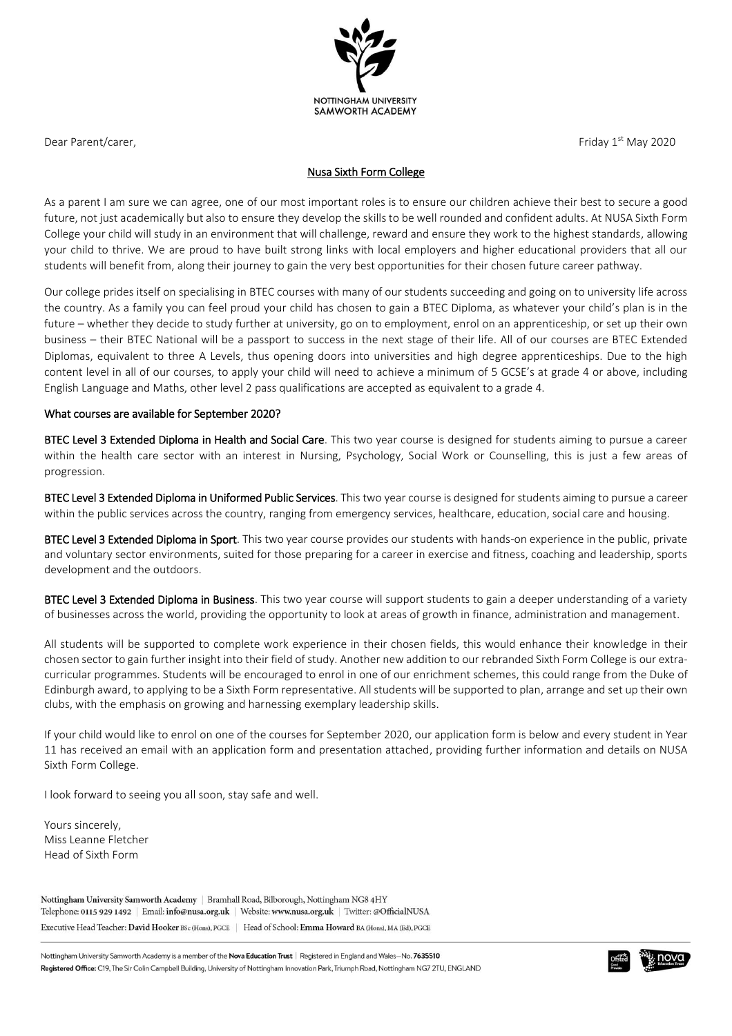

Dear Parent/carer, Friday 1st May 2020

### Nusa Sixth Form College

As a parent I am sure we can agree, one of our most important roles is to ensure our children achieve their best to secure a good future, not just academically but also to ensure they develop the skills to be well rounded and confident adults. At NUSA Sixth Form College your child will study in an environment that will challenge, reward and ensure they work to the highest standards, allowing your child to thrive. We are proud to have built strong links with local employers and higher educational providers that all our students will benefit from, along their journey to gain the very best opportunities for their chosen future career pathway.

Our college prides itself on specialising in BTEC courses with many of our students succeeding and going on to university life across the country. As a family you can feel proud your child has chosen to gain a BTEC Diploma, as whatever your child's plan is in the future – whether they decide to study further at university, go on to employment, enrol on an apprenticeship, or set up their own business – their BTEC National will be a passport to success in the next stage of their life. All of our courses are BTEC Extended Diplomas, equivalent to three A Levels, thus opening doors into universities and high degree apprenticeships. Due to the high content level in all of our courses, to apply your child will need to achieve a minimum of 5 GCSE's at grade 4 or above, including English Language and Maths, other level 2 pass qualifications are accepted as equivalent to a grade 4.

#### What courses are available for September 2020?

BTEC Level 3 Extended Diploma in Health and Social Care. This two year course is designed for students aiming to pursue a career within the health care sector with an interest in Nursing, Psychology, Social Work or Counselling, this is just a few areas of progression.

BTEC Level 3 Extended Diploma in Uniformed Public Services. This two year course is designed for students aiming to pursue a career within the public services across the country, ranging from emergency services, healthcare, education, social care and housing.

BTEC Level 3 Extended Diploma in Sport. This two year course provides our students with hands-on experience in the public, private and voluntary sector environments, suited for those preparing for a career in exercise and fitness, coaching and leadership, sports development and the outdoors.

BTEC Level 3 Extended Diploma in Business. This two year course will support students to gain a deeper understanding of a variety of businesses across the world, providing the opportunity to look at areas of growth in finance, administration and management.

All students will be supported to complete work experience in their chosen fields, this would enhance their knowledge in their chosen sector to gain further insight into their field of study. Another new addition to our rebranded Sixth Form College is our extracurricular programmes. Students will be encouraged to enrol in one of our enrichment schemes, this could range from the Duke of Edinburgh award, to applying to be a Sixth Form representative. All students will be supported to plan, arrange and set up their own clubs, with the emphasis on growing and harnessing exemplary leadership skills.

If your child would like to enrol on one of the courses for September 2020, our application form is below and every student in Year 11 has received an email with an application form and presentation attached, providing further information and details on NUSA Sixth Form College.

I look forward to seeing you all soon, stay safe and well.

Yours sincerely, Miss Leanne Fletcher Head of Sixth Form

Nottingham University Samworth Academy | Bramhall Road, Bilborough, Nottingham NG8 4HY Telephone: 0115 929 1492 | Email: info@nusa.org.uk | Website: www.nusa.org.uk | Twitter: @OfficialNUSA Executive Head Teacher: David Hooker BSc (Hons), PGCE | Head of School: Emma Howard BA (Hons), MA (Ed), PGCE

Nottingham University Samworth Academy is a member of the Nova Education Trust | Registered in England and Wales-No. 7635510 Registered Office: C19, The Sir Colin Campbell Building, University of Nottingham Innovation Park, Triumph Road, Nottingham NG7 2TU, ENGLAND

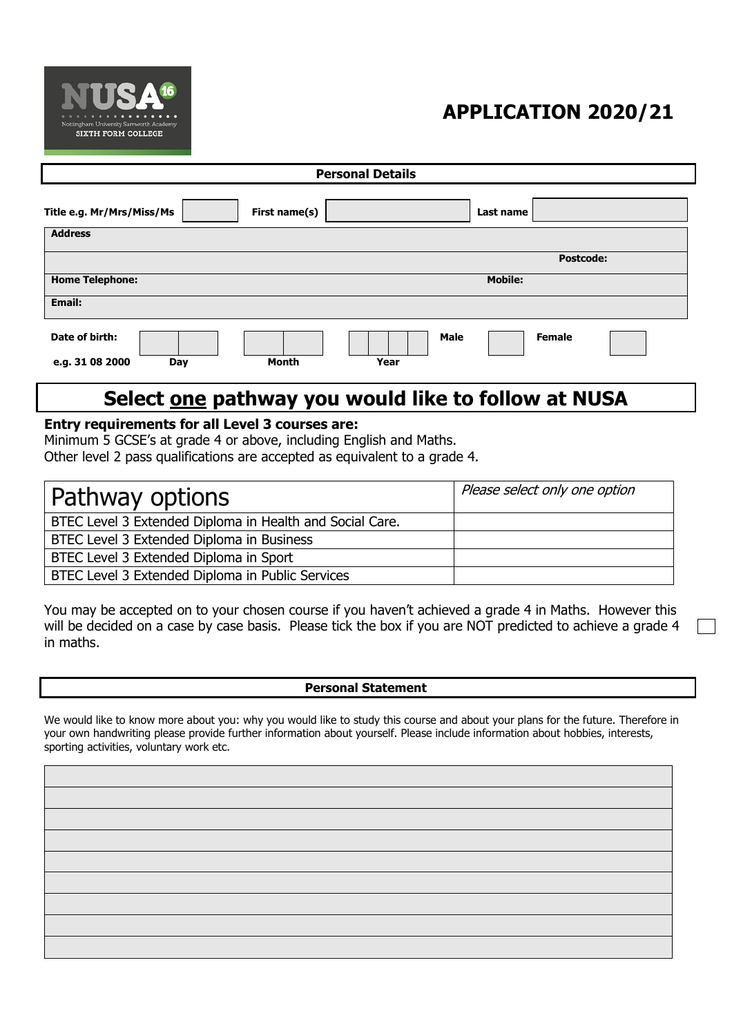

# **APPLICATION 2020/21**

| <b>Personal Details</b>                           |                                      |  |
|---------------------------------------------------|--------------------------------------|--|
| Title e.g. Mr/Mrs/Miss/Ms<br>First name(s)        | Last name                            |  |
| <b>Address</b>                                    |                                      |  |
|                                                   | <b>Postcode:</b>                     |  |
| <b>Home Telephone:</b>                            | <b>Mobile:</b>                       |  |
| Email:                                            |                                      |  |
| Date of birth:<br>Month<br>e.g. 31 08 2000<br>Day | <b>Female</b><br><b>Male</b><br>Year |  |

# **Select one pathway you would like to follow at NUSA**

# **Entry requirements for all Level 3 courses are:**

Minimum 5 GCSE's at grade 4 or above, including English and Maths. Other level 2 pass qualifications are accepted as equivalent to a grade 4.

| Pathway options                                          | Please select only one option |
|----------------------------------------------------------|-------------------------------|
| BTEC Level 3 Extended Diploma in Health and Social Care. |                               |
| BTEC Level 3 Extended Diploma in Business                |                               |
| BTEC Level 3 Extended Diploma in Sport                   |                               |
| BTEC Level 3 Extended Diploma in Public Services         |                               |

You may be accepted on to your chosen course if you haven't achieved a grade 4 in Maths. However this will be decided on a case by case basis. Please tick the box if you are NOT predicted to achieve a grade 4 in maths.

### **Personal Statement**

We would like to know more about you: why you would like to study this course and about your plans for the future. Therefore in your own handwriting please provide further information about yourself. Please include information about hobbies, interests, sporting activities, voluntary work etc.